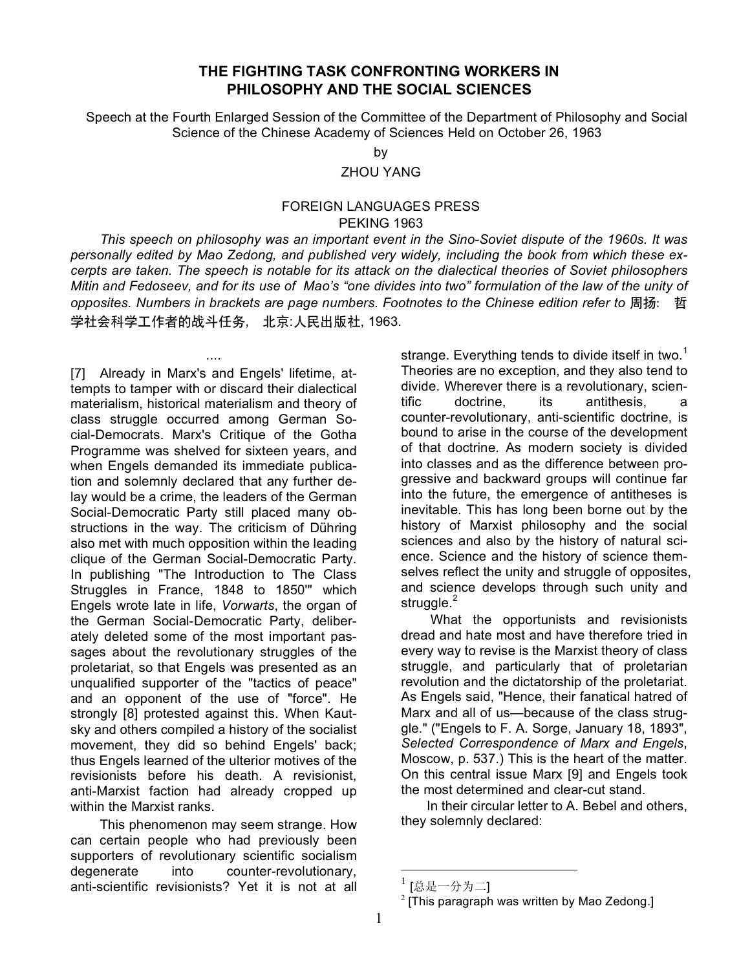## **THE FIGHTING TASK CONFRONTING WORKERS IN PHILOSOPHY AND THE SOCIAL SCIENCES**

Speech at the Fourth Enlarged Session of the Committee of the Department of Philosophy and Social Science of the Chinese Academy of Sciences Held on October 26, 1963

> by ZHOU YANG

## FOREIGN LANGUAGES PRESS PEKING 1963

*This speech on philosophy was an important event in the Sino-Soviet dispute of the 1960s. It was personally edited by Mao Zedong, and published very widely, including the book from which these excerpts are taken. The speech is notable for its attack on the dialectical theories of Soviet philosophers Mitin and Fedoseev, and for its use of Mao's "one divides into two" formulation of the law of the unity of opposites. Numbers in brackets are page numbers. Footnotes to the Chinese edition refer to* 周扬: 哲 学社会科学工作者的战斗任务, 北京:人民出版社, 1963.

[7] Already in Marx's and Engels' lifetime, attempts to tamper with or discard their dialectical materialism, historical materialism and theory of class struggle occurred among German Social-Democrats. Marx's Critique of the Gotha Programme was shelved for sixteen years, and when Engels demanded its immediate publication and solemnly declared that any further delay would be a crime, the leaders of the German Social-Democratic Party still placed many obstructions in the way. The criticism of Dühring also met with much opposition within the leading clique of the German Social-Democratic Party. In publishing "The Introduction to The Class Struggles in France, 1848 to 1850'" which Engels wrote late in life, *Vorwarts*, the organ of the German Social-Democratic Party, deliberately deleted some of the most important passages about the revolutionary struggles of the proletariat, so that Engels was presented as an unqualified supporter of the "tactics of peace" and an opponent of the use of "force". He strongly [8] protested against this. When Kautsky and others compiled a history of the socialist movement, they did so behind Engels' back; thus Engels learned of the ulterior motives of the revisionists before his death. A revisionist, anti-Marxist faction had already cropped up within the Marxist ranks.

....

This phenomenon may seem strange. How can certain people who had previously been supporters of revolutionary scientific socialism degenerate into counter-revolutionary, anti-scientific revisionists? Yet it is not at all

strange. Everything tends to divide itself in two.<sup>1</sup> Theories are no exception, and they also tend to divide. Wherever there is a revolutionary, scientific doctrine, its antithesis, a counter-revolutionary, anti-scientific doctrine, is bound to arise in the course of the development of that doctrine. As modern society is divided into classes and as the difference between progressive and backward groups will continue far into the future, the emergence of antitheses is inevitable. This has long been borne out by the history of Marxist philosophy and the social sciences and also by the history of natural science. Science and the history of science themselves reflect the unity and struggle of opposites, and science develops through such unity and struggle. $<sup>2</sup>$ </sup>

What the opportunists and revisionists dread and hate most and have therefore tried in every way to revise is the Marxist theory of class struggle, and particularly that of proletarian revolution and the dictatorship of the proletariat. As Engels said, "Hence, their fanatical hatred of Marx and all of us—because of the class struggle." ("Engels to F. A. Sorge, January 18, 1893", *Selected Correspondence of Marx and Engels*, Moscow, p. 537.) This is the heart of the matter. On this central issue Marx [9] and Engels took the most determined and clear-cut stand.

In their circular letter to A. Bebel and others, they solemnly declared:

<sup>[</sup>总是一分为二]

<sup>[</sup>This paragraph was written by Mao Zedong.]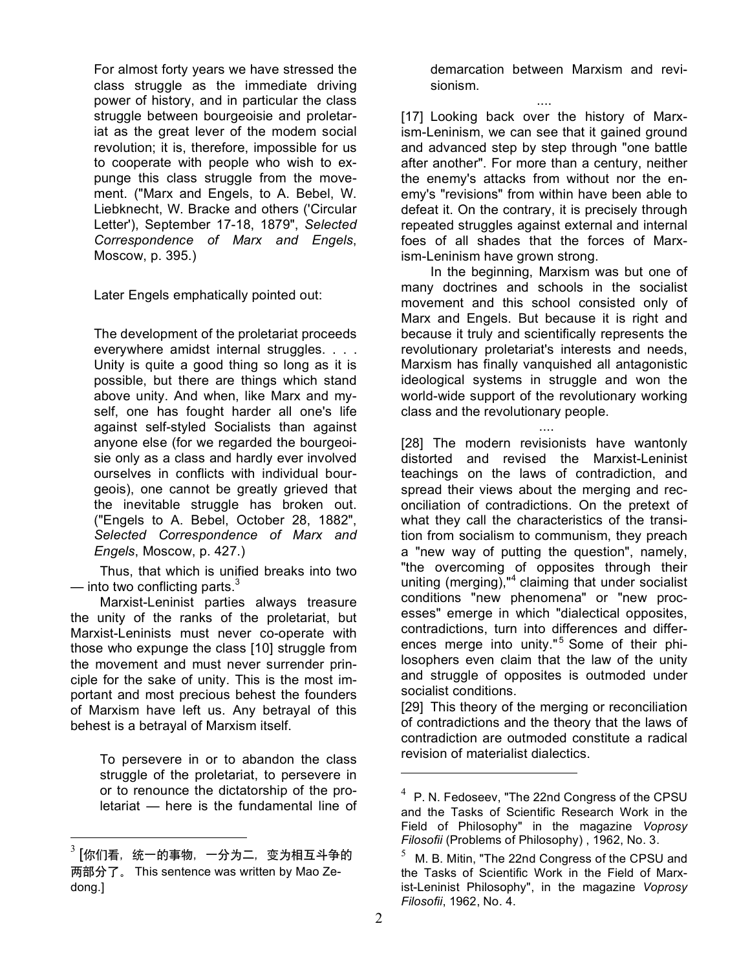For almost forty years we have stressed the class struggle as the immediate driving power of history, and in particular the class struggle between bourgeoisie and proletariat as the great lever of the modem social revolution; it is, therefore, impossible for us to cooperate with people who wish to expunge this class struggle from the movement. ("Marx and Engels, to A. Bebel, W. Liebknecht, W. Bracke and others ('Circular Letter'), September 17-18, 1879", *Selected Correspondence of Marx and Engels*, Moscow, p. 395.)

Later Engels emphatically pointed out:

The development of the proletariat proceeds everywhere amidst internal struggles. . . . Unity is quite a good thing so long as it is possible, but there are things which stand above unity. And when, like Marx and myself, one has fought harder all one's life against self-styled Socialists than against anyone else (for we regarded the bourgeoisie only as a class and hardly ever involved ourselves in conflicts with individual bourgeois), one cannot be greatly grieved that the inevitable struggle has broken out. ("Engels to A. Bebel, October 28, 1882", *Selected Correspondence of Marx and Engels*, Moscow, p. 427.)

Thus, that which is unified breaks into two — into two conflicting parts. $3$ 

Marxist-Leninist parties always treasure the unity of the ranks of the proletariat, but Marxist-Leninists must never co-operate with those who expunge the class [10] struggle from the movement and must never surrender principle for the sake of unity. This is the most important and most precious behest the founders of Marxism have left us. Any betrayal of this behest is a betrayal of Marxism itself.

To persevere in or to abandon the class struggle of the proletariat, to persevere in or to renounce the dictatorship of the proletariat — here is the fundamental line of demarcation between Marxism and revisionism.

.... [17] Looking back over the history of Marxism-Leninism, we can see that it gained ground and advanced step by step through "one battle after another". For more than a century, neither the enemy's attacks from without nor the enemy's "revisions" from within have been able to defeat it. On the contrary, it is precisely through repeated struggles against external and internal foes of all shades that the forces of Marxism-Leninism have grown strong.

In the beginning, Marxism was but one of many doctrines and schools in the socialist movement and this school consisted only of Marx and Engels. But because it is right and because it truly and scientifically represents the revolutionary proletariat's interests and needs, Marxism has finally vanquished all antagonistic ideological systems in struggle and won the world-wide support of the revolutionary working class and the revolutionary people.

....

[28] The modern revisionists have wantonly distorted and revised the Marxist-Leninist teachings on the laws of contradiction, and spread their views about the merging and reconciliation of contradictions. On the pretext of what they call the characteristics of the transition from socialism to communism, they preach a "new way of putting the question", namely, "the overcoming of opposites through their uniting (merging)," <sup>4</sup> claiming that under socialist conditions "new phenomena" or "new processes" emerge in which "dialectical opposites, contradictions, turn into differences and differences merge into unity."<sup>5</sup> Some of their philosophers even claim that the law of the unity and struggle of opposites is outmoded under socialist conditions.

[29] This theory of the merging or reconciliation of contradictions and the theory that the laws of contradiction are outmoded constitute a radical revision of materialist dialectics.

 $\overline{a}$ 

 $^3$  [你们看,统一的事物,一分为二,变为相互斗争的 两部分了。 This sentence was written by Mao Zedong.]

 $4$  P. N. Fedoseev, "The 22nd Congress of the CPSU and the Tasks of Scientific Research Work in the Field of Philosophy" in the magazine *Voprosy Filosofii* (Problems of Philosophy) , 1962, No. 3.

M. B. Mitin, "The 22nd Congress of the CPSU and the Tasks of Scientific Work in the Field of Marxist-Leninist Philosophy", in the magazine *Voprosy Filosofii*, 1962, No. 4.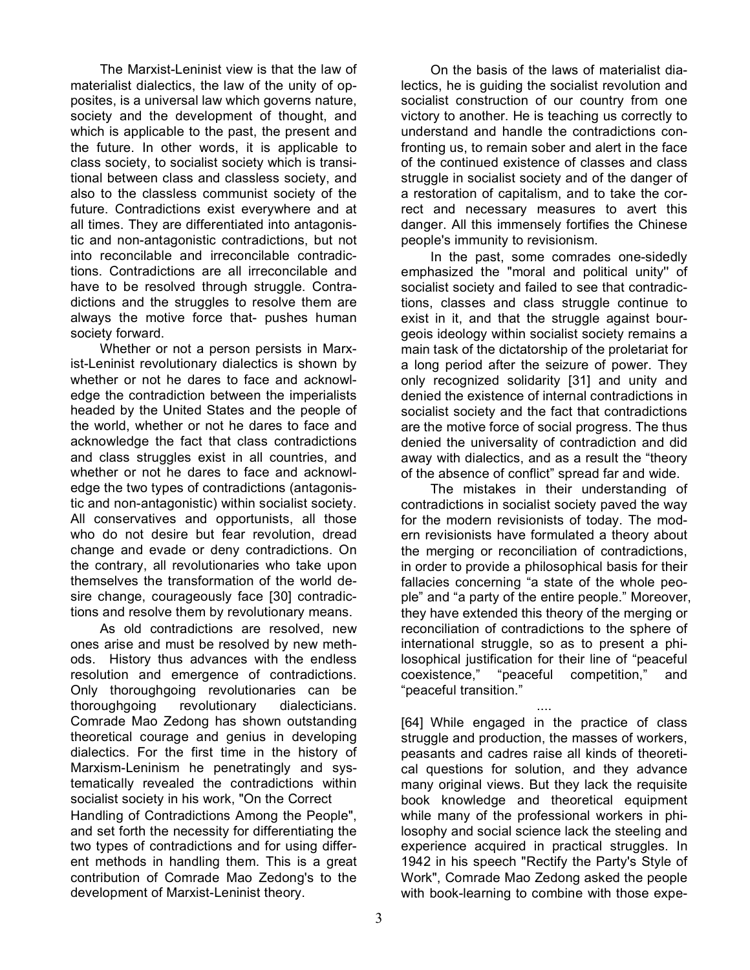The Marxist-Leninist view is that the law of materialist dialectics, the law of the unity of opposites, is a universal law which governs nature, society and the development of thought, and which is applicable to the past, the present and the future. In other words, it is applicable to class society, to socialist society which is transitional between class and classless society, and also to the classless communist society of the future. Contradictions exist everywhere and at all times. They are differentiated into antagonistic and non-antagonistic contradictions, but not into reconcilable and irreconcilable contradictions. Contradictions are all irreconcilable and have to be resolved through struggle. Contradictions and the struggles to resolve them are always the motive force that- pushes human society forward.

Whether or not a person persists in Marxist-Leninist revolutionary dialectics is shown by whether or not he dares to face and acknowledge the contradiction between the imperialists headed by the United States and the people of the world, whether or not he dares to face and acknowledge the fact that class contradictions and class struggles exist in all countries, and whether or not he dares to face and acknowledge the two types of contradictions (antagonistic and non-antagonistic) within socialist society. All conservatives and opportunists, all those who do not desire but fear revolution, dread change and evade or deny contradictions. On the contrary, all revolutionaries who take upon themselves the transformation of the world desire change, courageously face [30] contradictions and resolve them by revolutionary means.

As old contradictions are resolved, new ones arise and must be resolved by new methods. History thus advances with the endless resolution and emergence of contradictions. Only thoroughgoing revolutionaries can be thoroughgoing revolutionary dialecticians. Comrade Mao Zedong has shown outstanding theoretical courage and genius in developing dialectics. For the first time in the history of Marxism-Leninism he penetratingly and systematically revealed the contradictions within socialist society in his work, "On the Correct Handling of Contradictions Among the People", and set forth the necessity for differentiating the two types of contradictions and for using different methods in handling them. This is a great contribution of Comrade Mao Zedong's to the development of Marxist-Leninist theory.

On the basis of the laws of materialist dialectics, he is guiding the socialist revolution and socialist construction of our country from one victory to another. He is teaching us correctly to understand and handle the contradictions confronting us, to remain sober and alert in the face of the continued existence of classes and class struggle in socialist society and of the danger of a restoration of capitalism, and to take the correct and necessary measures to avert this danger. All this immensely fortifies the Chinese people's immunity to revisionism.

In the past, some comrades one-sidedly emphasized the "moral and political unity'' of socialist society and failed to see that contradictions, classes and class struggle continue to exist in it, and that the struggle against bourgeois ideology within socialist society remains a main task of the dictatorship of the proletariat for a long period after the seizure of power. They only recognized solidarity [31] and unity and denied the existence of internal contradictions in socialist society and the fact that contradictions are the motive force of social progress. The thus denied the universality of contradiction and did away with dialectics, and as a result the "theory of the absence of conflict" spread far and wide.

The mistakes in their understanding of contradictions in socialist society paved the way for the modern revisionists of today. The modern revisionists have formulated a theory about the merging or reconciliation of contradictions, in order to provide a philosophical basis for their fallacies concerning "a state of the whole people" and "a party of the entire people." Moreover, they have extended this theory of the merging or reconciliation of contradictions to the sphere of international struggle, so as to present a philosophical justification for their line of "peaceful coexistence," "peaceful competition," and "peaceful transition."

.... [64] While engaged in the practice of class struggle and production, the masses of workers, peasants and cadres raise all kinds of theoretical questions for solution, and they advance many original views. But they lack the requisite book knowledge and theoretical equipment while many of the professional workers in philosophy and social science lack the steeling and experience acquired in practical struggles. In 1942 in his speech "Rectify the Party's Style of Work", Comrade Mao Zedong asked the people with book-learning to combine with those expe